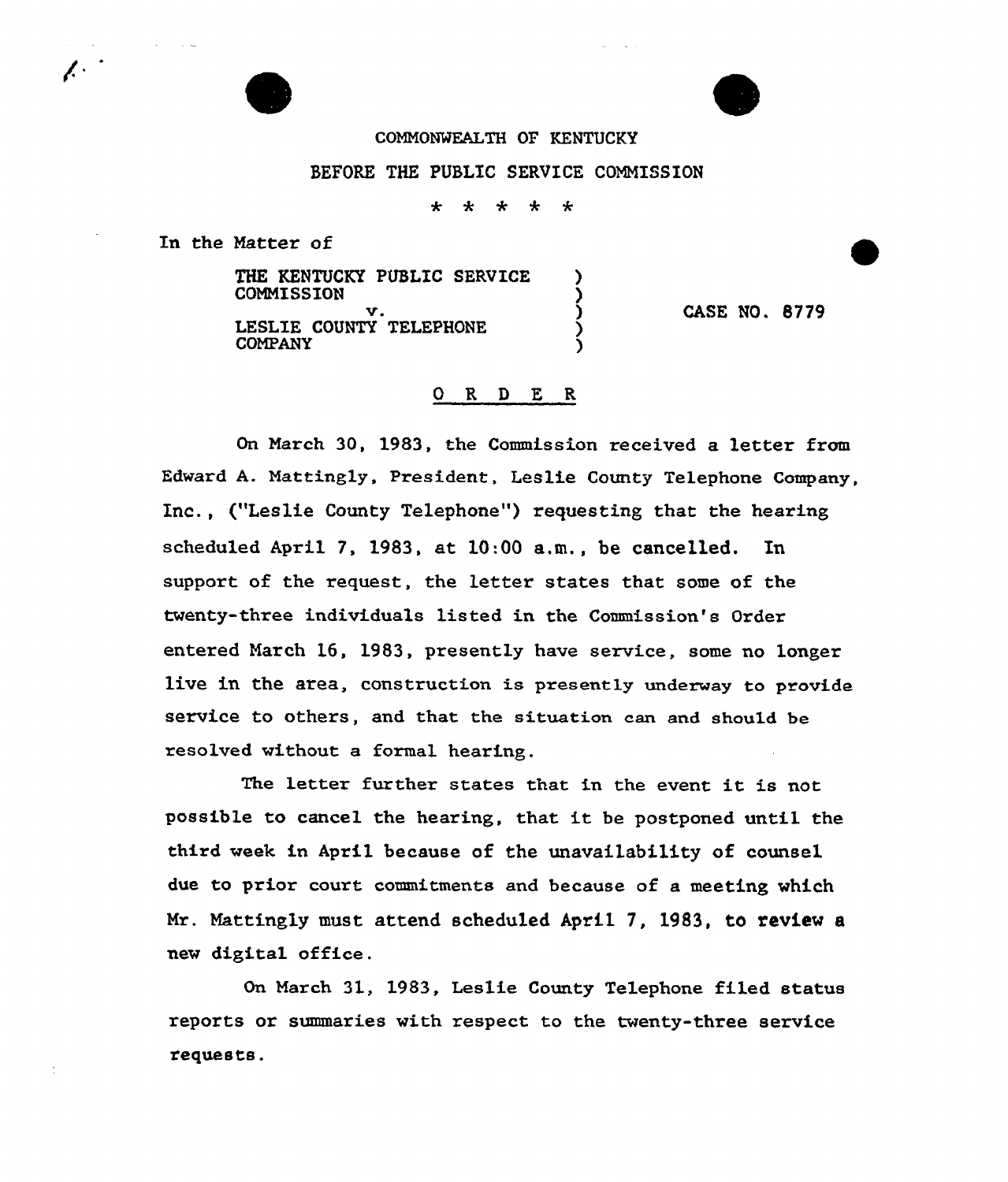$\mathcal{L}^+$ 

## COMMONWEALTH OF KENTUCKY

## BEFORE THE PUBLIC SERVICE COMMISSION

 $\star$  $\star$ ∗ 4.

In the Natter of

THE KENTUCKY PUBLIC SERVICE **COMMISSION**  $\mathbf{v}$ .  $\left(\begin{array}{cc} \mathbf{v} & \mathbf{v} \\ \mathbf{v} & \mathbf{v} \end{array}\right)$ LESLIE COUNTY TELEPHONE ( **COMPANY** 

CASE NO. 87?9

## ORDER

On Narch 30, 1983, the Commission received a letter from Edward A. Nattingly, President, Leslie County Telephone Company, Inc., ("Leslie County Telephone") requesting that the hearing scheduled April 7, 1983, at 10:00 a,m., be cancelled. In support of the request, the letter states that some of the twenty-three individuals listed in the Commission's Order entered Narch 16, 1983, presently have service, some no longer live in the area, construction is presently underway to provide service to others, and that the situation can and should be resolved without a formal hearing.

The letter further states that in the event it is not possible to cancel the hearing, that it be postponed until the third week in April because of the unavailability of counsel due to prior court commitments and because of a meeting which Nr. Nattingly must attend scheduled April 7, 1983, to review a new digital office.

On March 31, 1983, Leslie County Telephone filed, status reports or summaries with respect, to the twenty-three service requests.